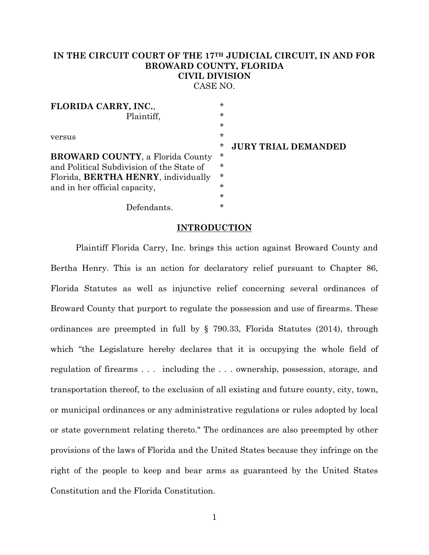## **IN THE CIRCUIT COURT OF THE 17TH JUDICIAL CIRCUIT, IN AND FOR BROWARD COUNTY, FLORIDA CIVIL DIVISION** CASE NO.

| FLORIDA CARRY, INC.,                        | $\star$ |                            |
|---------------------------------------------|---------|----------------------------|
| Plaintiff,                                  | ∗       |                            |
|                                             | $\star$ |                            |
| versus                                      | $\star$ |                            |
|                                             | *       | <b>JURY TRIAL DEMANDED</b> |
| <b>BROWARD COUNTY, a Florida County</b>     | ∗       |                            |
| and Political Subdivision of the State of   | $\star$ |                            |
| Florida, <b>BERTHA HENRY</b> , individually | $\star$ |                            |
| and in her official capacity,               | $\star$ |                            |
|                                             | ∗       |                            |
| Defendants.                                 | $\star$ |                            |

#### **INTRODUCTION**

Plaintiff Florida Carry, Inc. brings this action against Broward County and Bertha Henry. This is an action for declaratory relief pursuant to Chapter 86, Florida Statutes as well as injunctive relief concerning several ordinances of Broward County that purport to regulate the possession and use of firearms. These ordinances are preempted in full by § 790.33, Florida Statutes (2014), through which "the Legislature hereby declares that it is occupying the whole field of regulation of firearms . . . including the . . . ownership, possession, storage, and transportation thereof, to the exclusion of all existing and future county, city, town, or municipal ordinances or any administrative regulations or rules adopted by local or state government relating thereto." The ordinances are also preempted by other provisions of the laws of Florida and the United States because they infringe on the right of the people to keep and bear arms as guaranteed by the United States Constitution and the Florida Constitution.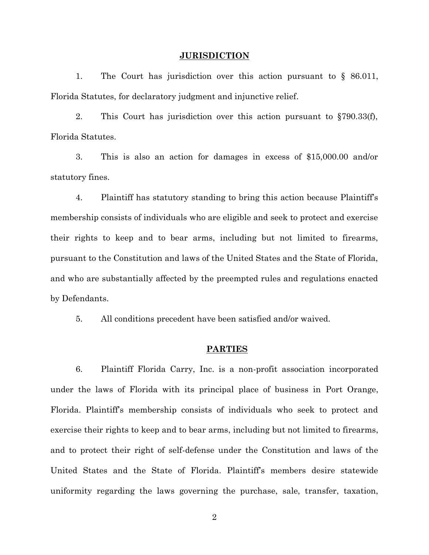#### **JURISDICTION**

<span id="page-1-0"></span>1. The Court has jurisdiction over this action pursuant to § 86.011, Florida Statutes, for declaratory judgment and injunctive relief.

2. This Court has jurisdiction over this action pursuant to §790.33(f), Florida Statutes.

3. This is also an action for damages in excess of \$15,000.00 and/or statutory fines.

4. Plaintiff has statutory standing to bring this action because Plaintiff's membership consists of individuals who are eligible and seek to protect and exercise their rights to keep and to bear arms, including but not limited to firearms, pursuant to the Constitution and laws of the United States and the State of Florida, and who are substantially affected by the preempted rules and regulations enacted by Defendants.

5. All conditions precedent have been satisfied and/or waived.

#### **PARTIES**

6. Plaintiff Florida Carry, Inc. is a non-profit association incorporated under the laws of Florida with its principal place of business in Port Orange, Florida. Plaintiff's membership consists of individuals who seek to protect and exercise their rights to keep and to bear arms, including but not limited to firearms, and to protect their right of self-defense under the Constitution and laws of the United States and the State of Florida. Plaintiff's members desire statewide uniformity regarding the laws governing the purchase, sale, transfer, taxation,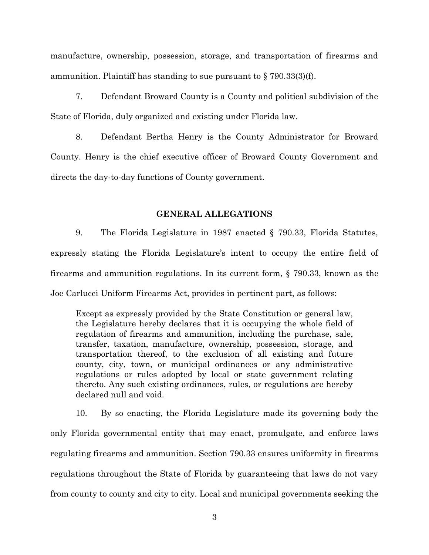manufacture, ownership, possession, storage, and transportation of firearms and ammunition. Plaintiff has standing to sue pursuant to  $\S 790.33(3)$ (f).

7. Defendant Broward County is a County and political subdivision of the State of Florida, duly organized and existing under Florida law.

8. Defendant Bertha Henry is the County Administrator for Broward County. Henry is the chief executive officer of Broward County Government and directs the day-to-day functions of County government.

### **GENERAL ALLEGATIONS**

9. The Florida Legislature in 1987 enacted § 790.33, Florida Statutes, expressly stating the Florida Legislature's intent to occupy the entire field of firearms and ammunition regulations. In its current form, § 790.33, known as the Joe Carlucci Uniform Firearms Act, provides in pertinent part, as follows:

Except as expressly provided by the State Constitution or general law, the Legislature hereby declares that it is occupying the whole field of regulation of firearms and ammunition, including the purchase, sale, transfer, taxation, manufacture, ownership, possession, storage, and transportation thereof, to the exclusion of all existing and future county, city, town, or municipal ordinances or any administrative regulations or rules adopted by local or state government relating thereto. Any such existing ordinances, rules, or regulations are hereby declared null and void.

10. By so enacting, the Florida Legislature made its governing body the only Florida governmental entity that may enact, promulgate, and enforce laws regulating firearms and ammunition. Section 790.33 ensures uniformity in firearms regulations throughout the State of Florida by guaranteeing that laws do not vary from county to county and city to city. Local and municipal governments seeking the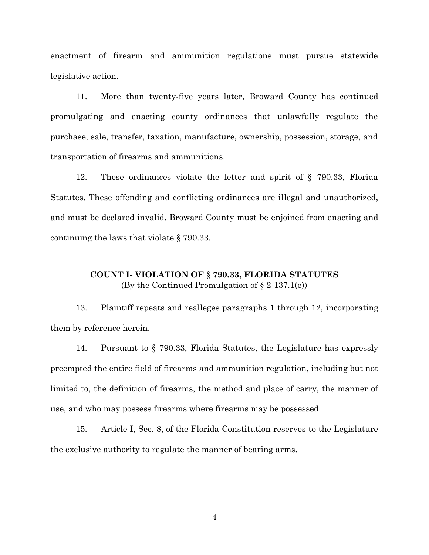enactment of firearm and ammunition regulations must pursue statewide legislative action.

11. More than twenty-five years later, Broward County has continued promulgating and enacting county ordinances that unlawfully regulate the purchase, sale, transfer, taxation, manufacture, ownership, possession, storage, and transportation of firearms and ammunitions.

12. These ordinances violate the letter and spirit of § 790.33, Florida Statutes. These offending and conflicting ordinances are illegal and unauthorized, and must be declared invalid. Broward County must be enjoined from enacting and continuing the laws that violate § 790.33.

## **COUNT I- VIOLATION OF** § **790.33, FLORIDA STATUTES** (By the Continued Promulgation of  $\S 2-137.1(e)$ )

13. Plaintiff repeats and realleges paragraphs [1](#page-1-0) through 12, incorporating them by reference herein.

14. Pursuant to § 790.33, Florida Statutes, the Legislature has expressly preempted the entire field of firearms and ammunition regulation, including but not limited to, the definition of firearms, the method and place of carry, the manner of use, and who may possess firearms where firearms may be possessed.

15. Article I, Sec. 8, of the Florida Constitution reserves to the Legislature the exclusive authority to regulate the manner of bearing arms.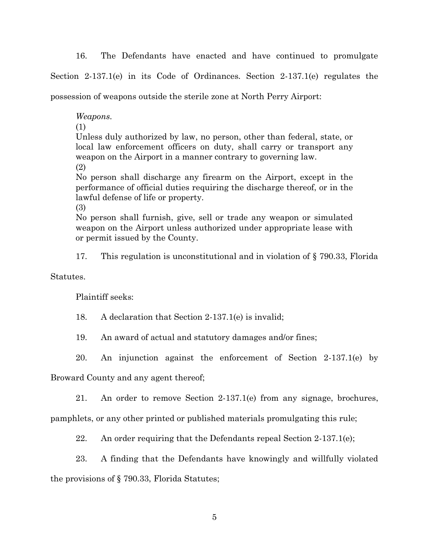16. The Defendants have enacted and have continued to promulgate

Section 2-137.1(e) in its Code of Ordinances. Section 2-137.1(e) regulates the

possession of weapons outside the sterile zone at North Perry Airport:

*Weapons.*

(1)

Unless duly authorized by law, no person, other than federal, state, or local law enforcement officers on duty, shall carry or transport any weapon on the Airport in a manner contrary to governing law.

(2)

No person shall discharge any firearm on the Airport, except in the performance of official duties requiring the discharge thereof, or in the lawful defense of life or property.

(3)

No person shall furnish, give, sell or trade any weapon or simulated weapon on the Airport unless authorized under appropriate lease with or permit issued by the County.

17. This regulation is unconstitutional and in violation of § 790.33, Florida

Statutes.

Plaintiff seeks:

18. A declaration that Section 2-137.1(e) is invalid;

19. An award of actual and statutory damages and/or fines;

20. An injunction against the enforcement of Section 2-137.1(e) by

Broward County and any agent thereof;

21. An order to remove Section 2-137.1(e) from any signage, brochures,

pamphlets, or any other printed or published materials promulgating this rule;

22. An order requiring that the Defendants repeal Section  $2-137.1(e)$ ;

23. A finding that the Defendants have knowingly and willfully violated

the provisions of § 790.33, Florida Statutes;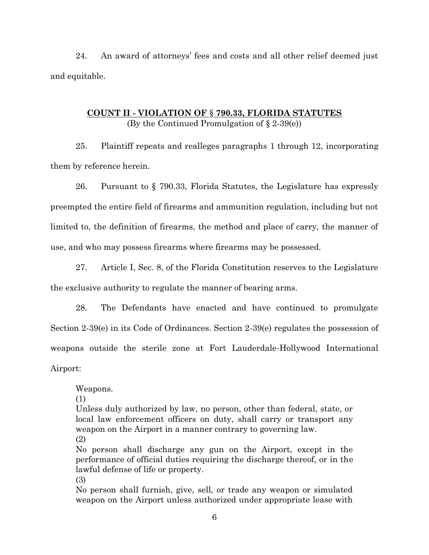24. An award of attorneys' fees and costs and all other relief deemed just and equitable.

## **COUNT II - VIOLATION OF** § **790.33, FLORIDA STATUTES** (By the Continued Promulgation of § 2-39(e))

25. Plaintiff repeats and realleges paragraphs [1](#page-1-0) through 12, incorporating them by reference herein.

26. Pursuant to § 790.33, Florida Statutes, the Legislature has expressly preempted the entire field of firearms and ammunition regulation, including but not limited to, the definition of firearms, the method and place of carry, the manner of use, and who may possess firearms where firearms may be possessed.

27. Article I, Sec. 8, of the Florida Constitution reserves to the Legislature the exclusive authority to regulate the manner of bearing arms.

28. The Defendants have enacted and have continued to promulgate Section 2-39(e) in its Code of Ordinances. Section 2-39(e) regulates the possession of weapons outside the sterile zone at Fort Lauderdale-Hollywood International Airport:

Weapons.

(1)

Unless duly authorized by law, no person, other than federal, state, or local law enforcement officers on duty, shall carry or transport any weapon on the Airport in a manner contrary to governing law. (2)

No person shall discharge any gun on the Airport, except in the performance of official duties requiring the discharge thereof, or in the lawful defense of life or property.

(3)

No person shall furnish, give, sell, or trade any weapon or simulated weapon on the Airport unless authorized under appropriate lease with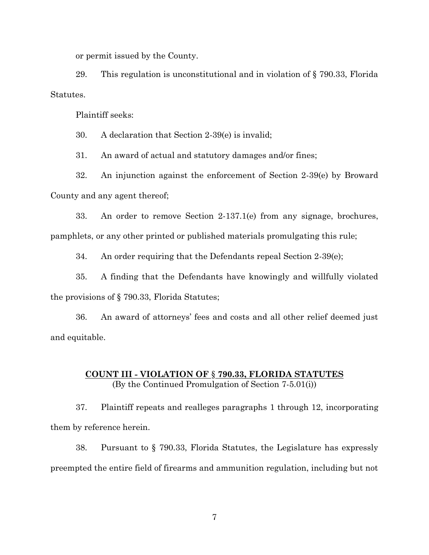or permit issued by the County.

29. This regulation is unconstitutional and in violation of § 790.33, Florida Statutes.

Plaintiff seeks:

30. A declaration that Section 2-39(e) is invalid;

31. An award of actual and statutory damages and/or fines;

32. An injunction against the enforcement of Section 2-39(e) by Broward County and any agent thereof;

33. An order to remove Section 2-137.1(e) from any signage, brochures, pamphlets, or any other printed or published materials promulgating this rule;

34. An order requiring that the Defendants repeal Section 2-39(e);

35. A finding that the Defendants have knowingly and willfully violated the provisions of § 790.33, Florida Statutes;

36. An award of attorneys' fees and costs and all other relief deemed just and equitable.

# **COUNT III - VIOLATION OF** § **790.33, FLORIDA STATUTES** (By the Continued Promulgation of Section 7-5.01(i))

37. Plaintiff repeats and realleges paragraphs [1](#page-1-0) through 12, incorporating them by reference herein.

38. Pursuant to § 790.33, Florida Statutes, the Legislature has expressly preempted the entire field of firearms and ammunition regulation, including but not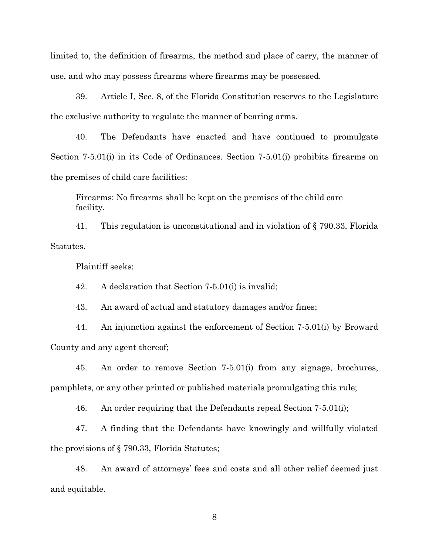limited to, the definition of firearms, the method and place of carry, the manner of use, and who may possess firearms where firearms may be possessed.

39. Article I, Sec. 8, of the Florida Constitution reserves to the Legislature the exclusive authority to regulate the manner of bearing arms.

40. The Defendants have enacted and have continued to promulgate Section 7-5.01(i) in its Code of Ordinances. Section 7-5.01(i) prohibits firearms on the premises of child care facilities:

Firearms: No firearms shall be kept on the premises of the child care facility.

41. This regulation is unconstitutional and in violation of § 790.33, Florida Statutes.

Plaintiff seeks:

42. A declaration that Section 7-5.01(i) is invalid;

43. An award of actual and statutory damages and/or fines;

44. An injunction against the enforcement of Section 7-5.01(i) by Broward County and any agent thereof;

45. An order to remove Section 7-5.01(i) from any signage, brochures, pamphlets, or any other printed or published materials promulgating this rule;

46. An order requiring that the Defendants repeal Section 7-5.01(i);

47. A finding that the Defendants have knowingly and willfully violated the provisions of § 790.33, Florida Statutes;

48. An award of attorneys' fees and costs and all other relief deemed just and equitable.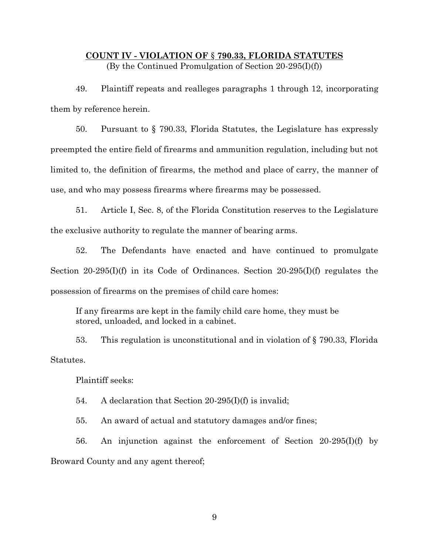# **COUNT IV - VIOLATION OF** § **790.33, FLORIDA STATUTES** (By the Continued Promulgation of Section 20-295(I)(f))

49. Plaintiff repeats and realleges paragraphs [1](#page-1-0) through 12, incorporating them by reference herein.

50. Pursuant to § 790.33, Florida Statutes, the Legislature has expressly preempted the entire field of firearms and ammunition regulation, including but not limited to, the definition of firearms, the method and place of carry, the manner of use, and who may possess firearms where firearms may be possessed.

51. Article I, Sec. 8, of the Florida Constitution reserves to the Legislature the exclusive authority to regulate the manner of bearing arms.

52. The Defendants have enacted and have continued to promulgate Section 20-295(I)(f) in its Code of Ordinances. Section 20-295(I)(f) regulates the possession of firearms on the premises of child care homes:

If any firearms are kept in the family child care home, they must be stored, unloaded, and locked in a cabinet.

53. This regulation is unconstitutional and in violation of § 790.33, Florida Statutes.

Plaintiff seeks:

54. A declaration that Section 20-295(I)(f) is invalid;

55. An award of actual and statutory damages and/or fines;

56. An injunction against the enforcement of Section 20-295(I)(f) by Broward County and any agent thereof;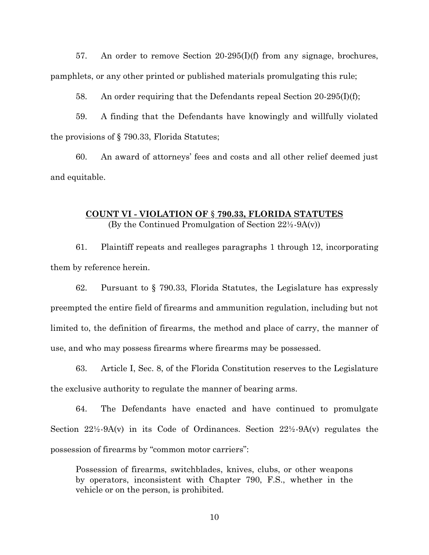57. An order to remove Section 20-295(I)(f) from any signage, brochures, pamphlets, or any other printed or published materials promulgating this rule;

58. An order requiring that the Defendants repeal Section 20-295(I)(f);

59. A finding that the Defendants have knowingly and willfully violated the provisions of § 790.33, Florida Statutes;

60. An award of attorneys' fees and costs and all other relief deemed just and equitable.

## **COUNT VI - VIOLATION OF** § **790.33, FLORIDA STATUTES** (By the Continued Promulgation of Section 22½-9A(v))

61. Plaintiff repeats and realleges paragraphs [1](#page-1-0) through 12, incorporating them by reference herein.

62. Pursuant to § 790.33, Florida Statutes, the Legislature has expressly preempted the entire field of firearms and ammunition regulation, including but not limited to, the definition of firearms, the method and place of carry, the manner of use, and who may possess firearms where firearms may be possessed.

63. Article I, Sec. 8, of the Florida Constitution reserves to the Legislature the exclusive authority to regulate the manner of bearing arms.

64. The Defendants have enacted and have continued to promulgate Section  $22\frac{1}{2}$ -9A(v) in its Code of Ordinances. Section  $22\frac{1}{2}$ -9A(v) regulates the possession of firearms by "common motor carriers":

Possession of firearms, switchblades, knives, clubs, or other weapons by operators, inconsistent with Chapter 790, F.S., whether in the vehicle or on the person, is prohibited.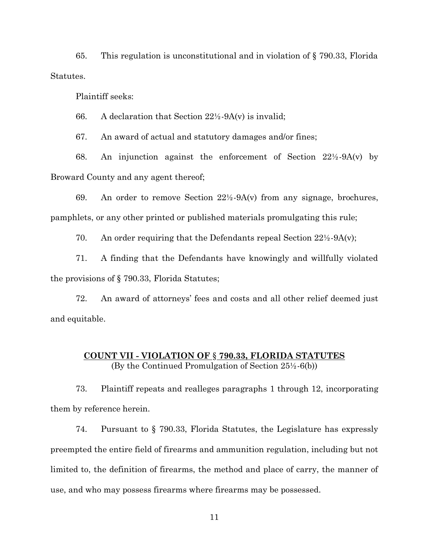65. This regulation is unconstitutional and in violation of § 790.33, Florida Statutes.

Plaintiff seeks:

66. A declaration that Section  $22\frac{1}{2}$ -9A(v) is invalid;

67. An award of actual and statutory damages and/or fines;

68. An injunction against the enforcement of Section 22½-9A(v) by Broward County and any agent thereof;

69. An order to remove Section  $22\frac{1}{2}$ -9A(v) from any signage, brochures, pamphlets, or any other printed or published materials promulgating this rule;

70. An order requiring that the Defendants repeal Section  $22\frac{1}{2}$ -9A(v);

71. A finding that the Defendants have knowingly and willfully violated the provisions of § 790.33, Florida Statutes;

72. An award of attorneys' fees and costs and all other relief deemed just and equitable.

## **COUNT VII - VIOLATION OF** § **790.33, FLORIDA STATUTES** (By the Continued Promulgation of Section 25½-6(b))

73. Plaintiff repeats and realleges paragraphs [1](#page-1-0) through 12, incorporating them by reference herein.

74. Pursuant to § 790.33, Florida Statutes, the Legislature has expressly preempted the entire field of firearms and ammunition regulation, including but not limited to, the definition of firearms, the method and place of carry, the manner of use, and who may possess firearms where firearms may be possessed.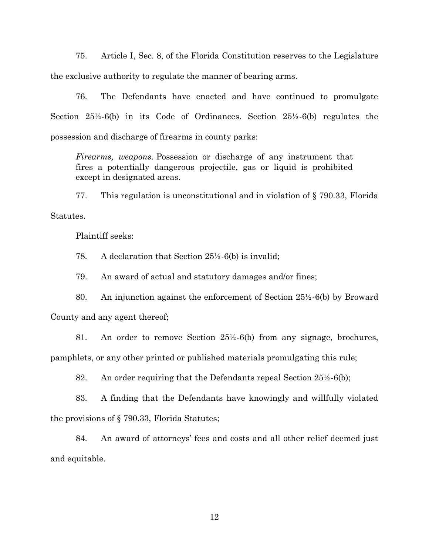75. Article I, Sec. 8, of the Florida Constitution reserves to the Legislature the exclusive authority to regulate the manner of bearing arms.

76. The Defendants have enacted and have continued to promulgate Section 25½-6(b) in its Code of Ordinances. Section 25½-6(b) regulates the possession and discharge of firearms in county parks:

*Firearms, weapons.* Possession or discharge of any instrument that fires a potentially dangerous projectile, gas or liquid is prohibited except in designated areas.

77. This regulation is unconstitutional and in violation of § 790.33, Florida Statutes.

Plaintiff seeks:

78. A declaration that Section 25½-6(b) is invalid;

79. An award of actual and statutory damages and/or fines;

80. An injunction against the enforcement of Section 25½-6(b) by Broward

County and any agent thereof;

81. An order to remove Section 25½-6(b) from any signage, brochures, pamphlets, or any other printed or published materials promulgating this rule;

82. An order requiring that the Defendants repeal Section 25½-6(b);

83. A finding that the Defendants have knowingly and willfully violated the provisions of § 790.33, Florida Statutes;

84. An award of attorneys' fees and costs and all other relief deemed just and equitable.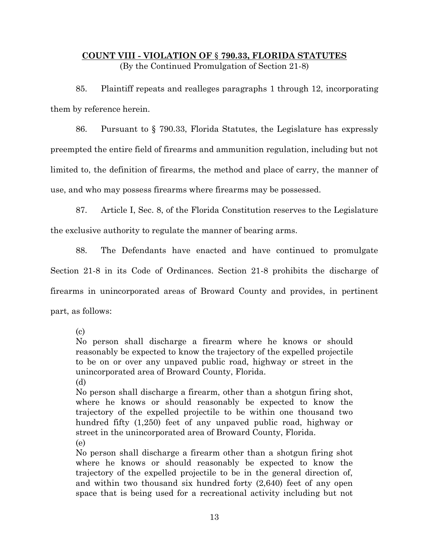# **COUNT VIII - VIOLATION OF** § **790.33, FLORIDA STATUTES** (By the Continued Promulgation of Section 21-8)

85. Plaintiff repeats and realleges paragraphs [1](#page-1-0) through 12, incorporating them by reference herein.

86. Pursuant to § 790.33, Florida Statutes, the Legislature has expressly preempted the entire field of firearms and ammunition regulation, including but not limited to, the definition of firearms, the method and place of carry, the manner of use, and who may possess firearms where firearms may be possessed.

87. Article I, Sec. 8, of the Florida Constitution reserves to the Legislature the exclusive authority to regulate the manner of bearing arms.

88. The Defendants have enacted and have continued to promulgate

Section 21-8 in its Code of Ordinances. Section 21-8 prohibits the discharge of

firearms in unincorporated areas of Broward County and provides, in pertinent

part, as follows:

(c)

No person shall discharge a firearm where he knows or should reasonably be expected to know the trajectory of the expelled projectile to be on or over any unpaved public road, highway or street in the unincorporated area of Broward County, Florida.

(d)

No person shall discharge a firearm, other than a shotgun firing shot, where he knows or should reasonably be expected to know the trajectory of the expelled projectile to be within one thousand two hundred fifty (1,250) feet of any unpaved public road, highway or street in the unincorporated area of Broward County, Florida.

(e)

No person shall discharge a firearm other than a shotgun firing shot where he knows or should reasonably be expected to know the trajectory of the expelled projectile to be in the general direction of, and within two thousand six hundred forty (2,640) feet of any open space that is being used for a recreational activity including but not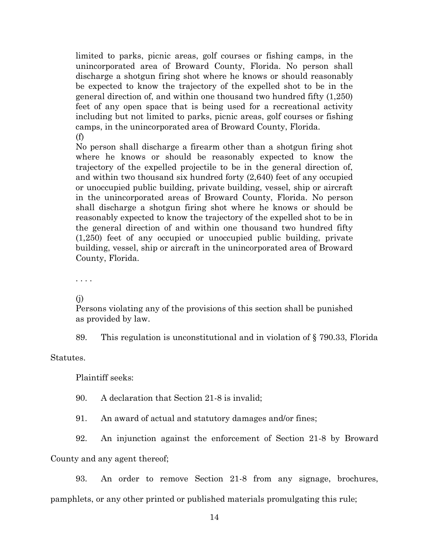limited to parks, picnic areas, golf courses or fishing camps, in the unincorporated area of Broward County, Florida. No person shall discharge a shotgun firing shot where he knows or should reasonably be expected to know the trajectory of the expelled shot to be in the general direction of, and within one thousand two hundred fifty (1,250) feet of any open space that is being used for a recreational activity including but not limited to parks, picnic areas, golf courses or fishing camps, in the unincorporated area of Broward County, Florida. (f)

No person shall discharge a firearm other than a shotgun firing shot where he knows or should be reasonably expected to know the trajectory of the expelled projectile to be in the general direction of, and within two thousand six hundred forty (2,640) feet of any occupied or unoccupied public building, private building, vessel, ship or aircraft in the unincorporated areas of Broward County, Florida. No person shall discharge a shotgun firing shot where he knows or should be reasonably expected to know the trajectory of the expelled shot to be in the general direction of and within one thousand two hundred fifty (1,250) feet of any occupied or unoccupied public building, private building, vessel, ship or aircraft in the unincorporated area of Broward County, Florida.

. . . .

(j)

Persons violating any of the provisions of this section shall be punished as provided by law.

89. This regulation is unconstitutional and in violation of § 790.33, Florida

Statutes.

Plaintiff seeks:

90. A declaration that Section 21-8 is invalid;

91. An award of actual and statutory damages and/or fines;

92. An injunction against the enforcement of Section 21-8 by Broward

County and any agent thereof;

93. An order to remove Section 21-8 from any signage, brochures, pamphlets, or any other printed or published materials promulgating this rule;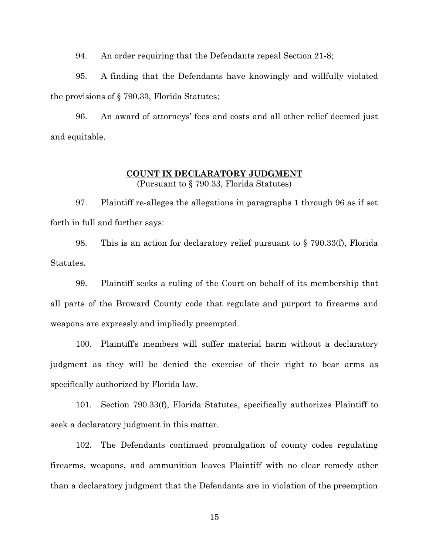94. An order requiring that the Defendants repeal Section 21-8;

95. A finding that the Defendants have knowingly and willfully violated the provisions of § 790.33, Florida Statutes;

96. An award of attorneys' fees and costs and all other relief deemed just and equitable.

## **COUNT IX DECLARATORY JUDGMENT**  (Pursuant to § 790.33, Florida Statutes)

97. Plaintiff re-alleges the allegations in paragraphs 1 through 96 as if set forth in full and further says:

98. This is an action for declaratory relief pursuant to § 790.33(f), Florida Statutes.

99. Plaintiff seeks a ruling of the Court on behalf of its membership that all parts of the Broward County code that regulate and purport to firearms and weapons are expressly and impliedly preempted.

100. Plaintiff's members will suffer material harm without a declaratory judgment as they will be denied the exercise of their right to bear arms as specifically authorized by Florida law.

101. Section 790.33(f), Florida Statutes, specifically authorizes Plaintiff to seek a declaratory judgment in this matter.

102. The Defendants continued promulgation of county codes regulating firearms, weapons, and ammunition leaves Plaintiff with no clear remedy other than a declaratory judgment that the Defendants are in violation of the preemption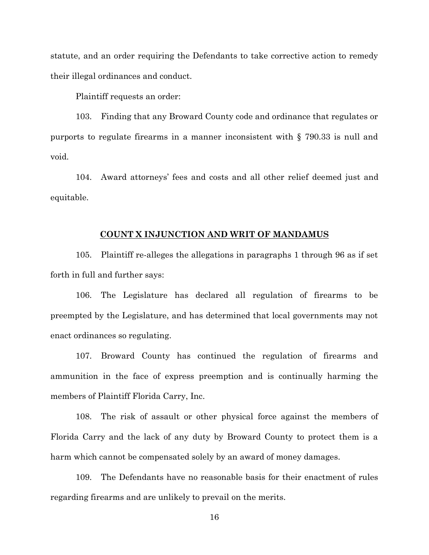statute, and an order requiring the Defendants to take corrective action to remedy their illegal ordinances and conduct.

Plaintiff requests an order:

103. Finding that any Broward County code and ordinance that regulates or purports to regulate firearms in a manner inconsistent with § 790.33 is null and void.

104. Award attorneys' fees and costs and all other relief deemed just and equitable.

### **COUNT X INJUNCTION AND WRIT OF MANDAMUS**

105. Plaintiff re-alleges the allegations in paragraphs 1 through 96 as if set forth in full and further says:

106. The Legislature has declared all regulation of firearms to be preempted by the Legislature, and has determined that local governments may not enact ordinances so regulating.

107. Broward County has continued the regulation of firearms and ammunition in the face of express preemption and is continually harming the members of Plaintiff Florida Carry, Inc.

108. The risk of assault or other physical force against the members of Florida Carry and the lack of any duty by Broward County to protect them is a harm which cannot be compensated solely by an award of money damages.

109. The Defendants have no reasonable basis for their enactment of rules regarding firearms and are unlikely to prevail on the merits.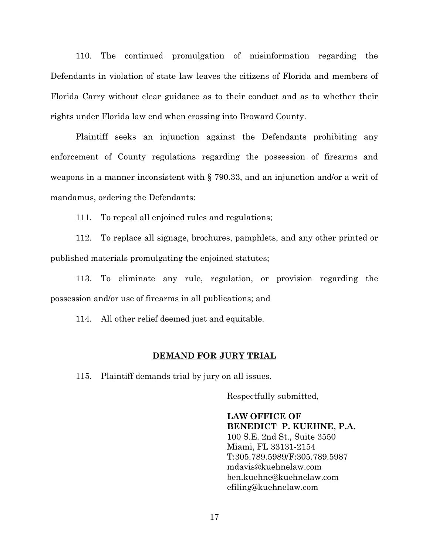110. The continued promulgation of misinformation regarding the Defendants in violation of state law leaves the citizens of Florida and members of Florida Carry without clear guidance as to their conduct and as to whether their rights under Florida law end when crossing into Broward County.

Plaintiff seeks an injunction against the Defendants prohibiting any enforcement of County regulations regarding the possession of firearms and weapons in a manner inconsistent with § 790.33, and an injunction and/or a writ of mandamus, ordering the Defendants:

111. To repeal all enjoined rules and regulations;

112. To replace all signage, brochures, pamphlets, and any other printed or published materials promulgating the enjoined statutes;

113. To eliminate any rule, regulation, or provision regarding the possession and/or use of firearms in all publications; and

114. All other relief deemed just and equitable.

#### **DEMAND FOR JURY TRIAL**

115. Plaintiff demands trial by jury on all issues.

Respectfully submitted,

**LAW OFFICE OF BENEDICT P. KUEHNE, P.A.** 100 S.E. 2nd St., Suite 3550 Miami, FL 33131-2154 T:305.789.5989/F:305.789.5987 mdavis@kuehnelaw.com ben.kuehne@kuehnelaw.com efiling@kuehnelaw.com